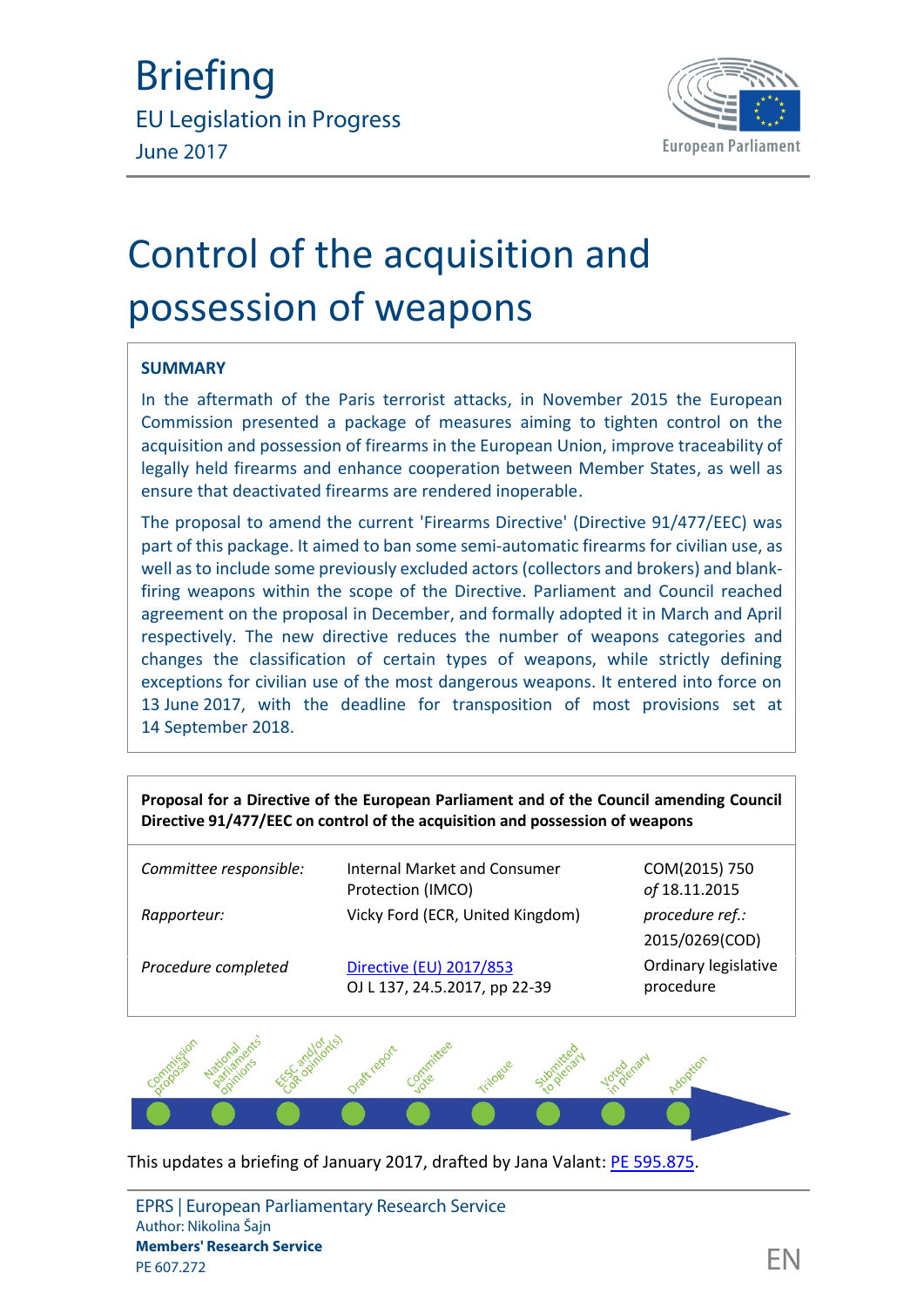

## **SUMMARY**

In the aftermath of the Paris terrorist attacks, in November 2015 the European Commission presented a package of measures aiming to tighten control on the acquisition and possession of firearms in the European Union, improve traceability of legally held firearms and enhance cooperation between Member States, as well as ensure that deactivated firearms are rendered inoperable.

The proposal to amend the current 'Firearms Directive' (Directive 91/477/EEC) was part of this package. It aimed to ban some semi-automatic firearms for civilian use, as well asto include some previously excluded actors (collectors and brokers) and blankfiring weapons within the scope of the Directive. Parliament and Council reached agreement on the proposal in December, and formally adopted it in March and April respectively. The new directive reduces the number of weapons categories and changes the classification of certain types of weapons, while strictly defining exceptions for civilian use of the most dangerous weapons. It entered into force on 13 June 2017, with the deadline for transposition of most provisions set at 14 September 2018.

**Proposal for a Directive of the European Parliament and of the Council amending Council Directive 91/477/EEC on control of the acquisition and possession of weapons**

| Committee responsible: | <b>Internal Market and Consumer</b><br>Protection (IMCO) | COM(2015) 750<br>of 18.11.2015    |
|------------------------|----------------------------------------------------------|-----------------------------------|
| Rapporteur:            | Vicky Ford (ECR, United Kingdom)                         | procedure ref.:<br>2015/0269(COD) |
| Procedure completed    | Directive (EU) 2017/853<br>OJ L 137, 24.5.2017, pp 22-39 | Ordinary legislative<br>procedure |



This updates a briefing of January 2017, drafted by Jana Valant: [PE 595.875.](http://www.europarl.europa.eu/thinktank/en/document.html?reference=EPRS_BRI(2017)595875)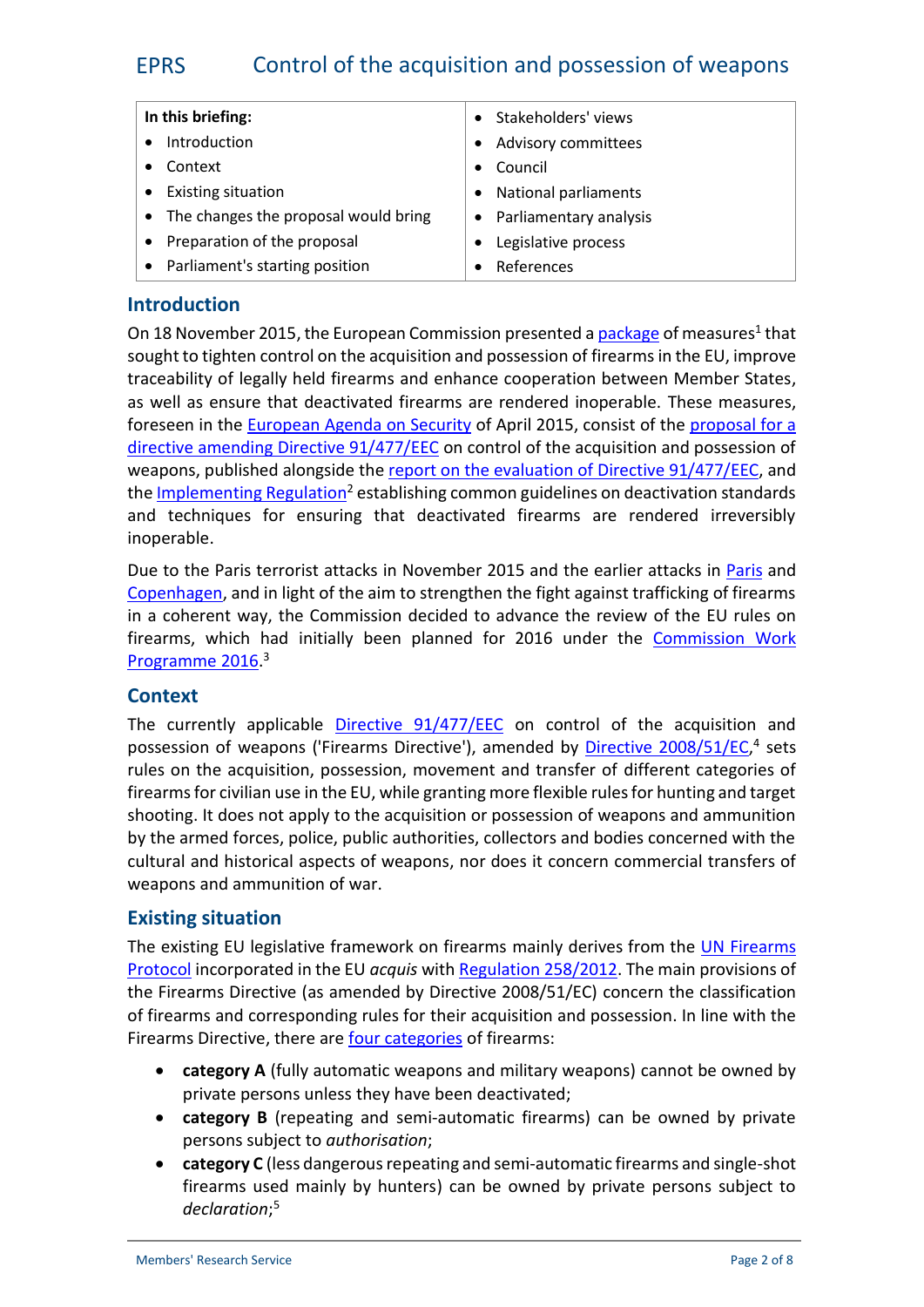| In this briefing:                      | Stakeholders' views         |  |
|----------------------------------------|-----------------------------|--|
| Introduction                           | Advisory committees         |  |
| Context                                | Council                     |  |
| <b>Existing situation</b>              | <b>National parliaments</b> |  |
| • The changes the proposal would bring | • Parliamentary analysis    |  |
| • Preparation of the proposal          | Legislative process         |  |
| • Parliament's starting position       | References                  |  |

#### **Introduction**

On 18 November 2015, the European Commission presented a <u>[package](http://europa.eu/rapid/press-release_IP-15-6110_en.htm)</u> of measures<sup>1</sup> that sought to tighten control on the acquisition and possession of firearms in the EU, improve traceability of legally held firearms and enhance cooperation between Member States, as well as ensure that deactivated firearms are rendered inoperable. These measures, foreseen in the [European Agenda on Security](http://eur-lex.europa.eu/legal-content/en/TXT/?uri=celex:52015DC0185) of April 2015, consist of the [proposal](http://eur-lex.europa.eu/legal-content/EN/TXT/?uri=celex:52015PC0750) for a directive amending [Directive 91/477/EEC](http://eur-lex.europa.eu/legal-content/EN/TXT/?uri=celex:52015PC0750) on control of the acquisition and possession of weapons, published alongside the [report on the](http://eur-lex.europa.eu/legal-content/EN/TXT/?qid=1452093479647&uri=CELEX:52015DC0751) evaluation of Directive 91/477/EEC, and the [Implementing](http://eur-lex.europa.eu/legal-content/EN/ALL/?uri=CELEX%3A32015R2403) Regulation<sup>2</sup> establishing common guidelines on deactivation standards and techniques for ensuring that deactivated firearms are rendered irreversibly inoperable.

Due to the Paris terrorist attacks in November 2015 and the earlier attacks in [Paris](http://www.bbc.com/news/world-europe-30710883) and [Copenhagen,](http://www.theguardian.com/world/2015/feb/16/copenhagen-attacks-danish-police-charge-two-men) and in light of the aim to strengthen the fight against trafficking of firearms in a coherent way, the Commission decided to advance the review of the EU rules on firearms, which had initially been planned for 2016 under the [Commission Work](http://ec.europa.eu/atwork/pdf/cwp_2016_annex_i_en.pdf) [Programme](http://ec.europa.eu/atwork/pdf/cwp_2016_annex_i_en.pdf) 2016.<sup>3</sup>

## **Context**

The currently applicable [Directive 91/477/EEC](http://eur-lex.europa.eu/legal-content/EN/TXT/?uri=uriserv:OJ.L_.1991.256.01.0051.01.ENG&toc=OJ:L:1991:256:TOC) on control of the acquisition and possession of weapons ('Firearms Directive'), amended by [Directive 2008/51/EC](http://eur-lex.europa.eu/legal-content/en/ALL/?uri=CELEX%3A32008L0051),<sup>4</sup> sets rules on the acquisition, possession, movement and transfer of different categories of firearms for civilian use in the EU, while granting more flexible rules for hunting and target shooting. It does not apply to the acquisition or possession of weapons and ammunition by the armed forces, police, public authorities, collectors and bodies concerned with the cultural and historical aspects of weapons, nor does it concern commercial transfers of weapons and ammunition of war.

## **Existing situation**

The existing EU legislative framework on firearms mainly derives from the [UN Firearms](http://www.unodc.org/pdf/crime/a_res_55/255e.pdf) [Protocol](http://www.unodc.org/pdf/crime/a_res_55/255e.pdf) incorporated in the EU *acquis* with [Regulation 258/2012](http://eur-lex.europa.eu/legal-content/EN/TXT/?uri=CELEX%3A32012R0258). The main provisions of the Firearms Directive (as amended by Directive 2008/51/EC) concern the classification of firearms and corresponding rules for their acquisition and possession. In line with the Firearms Directive, there are [four categories](http://europa.eu/rapid/press-release_MEMO-15-6111_en.htm) of firearms:

- **category A** (fully automatic weapons and military weapons) cannot be owned by private persons unless they have been deactivated;
- **category B** (repeating and semi-automatic firearms) can be owned by private persons subject to *authorisation*;
- **category C** (less dangerous repeating and semi-automatic firearms and single-shot firearms used mainly by hunters) can be owned by private persons subject to *declaration*;5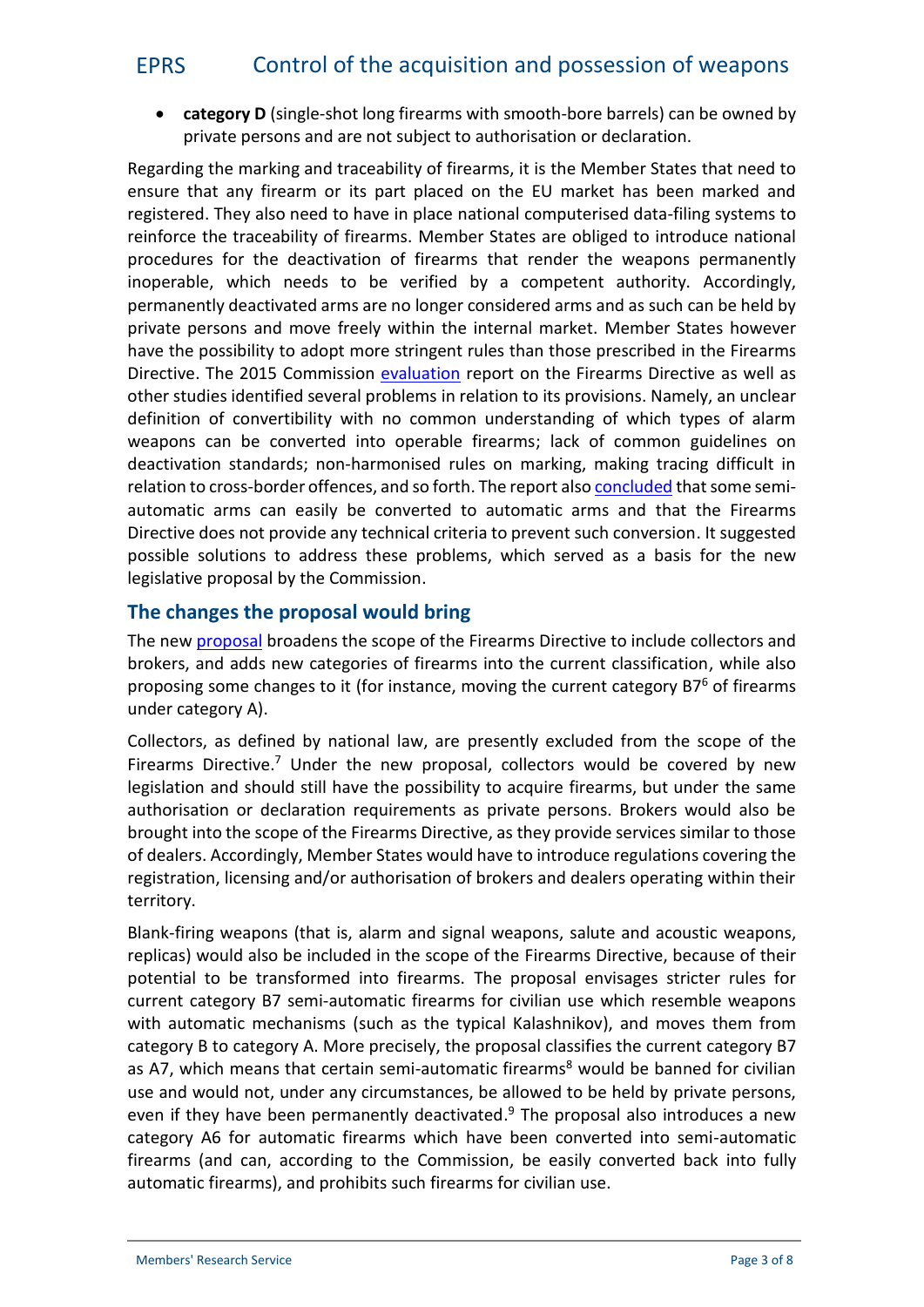**category D** (single-shot long firearms with smooth-bore barrels) can be owned by private persons and are not subject to authorisation or declaration.

Regarding the marking and traceability of firearms, it is the Member States that need to ensure that any firearm or its part placed on the EU market has been marked and registered. They also need to have in place national computerised data-filing systems to reinforce the traceability of firearms. Member States are obliged to introduce national procedures for the deactivation of firearms that render the weapons permanently inoperable, which needs to be verified by a competent authority. Accordingly, permanently deactivated arms are no longer considered arms and as such can be held by private persons and move freely within the internal market. Member States however have the possibility to adopt more stringent rules than those prescribed in the Firearms Directive. The 2015 Commission [evaluation](http://eur-lex.europa.eu/legal-content/EN/NOT/?uri=COM:2015:751:FIN) report on the Firearms Directive as well as other studies identified several problems in relation to its provisions. Namely, an unclear definition of convertibility with no common understanding of which types of alarm weapons can be converted into operable firearms; lack of common guidelines on deactivation standards; non-harmonised rules on marking, making tracing difficult in relation to cross-border offences, and so forth. The report also [concluded](http://eur-lex.europa.eu/legal-content/EN/TXT/?uri=celex:52015PC0750) that some semi automatic arms can easily be converted to automatic arms and that the Firearms Directive does not provide any technical criteria to prevent such conversion. It suggested possible solutions to address these problems, which served as a basis for the new legislative proposal by the Commission.

## **The changes the proposal would bring**

The new [proposal](http://eur-lex.europa.eu/legal-content/EN/TXT/?uri=celex:52015PC0750) broadens the scope of the Firearms Directive to include collectors and brokers, and adds new categories of firearms into the current classification, while also proposing some changes to it (for instance, moving the current category B7<sup>6</sup> of firearms under category A).

Collectors, as defined by national law, are presently excluded from the scope of the Firearms Directive.<sup>7</sup> Under the new proposal, collectors would be covered by new legislation and should still have the possibility to acquire firearms, but under the same authorisation or declaration requirements as private persons. Brokers would also be brought into the scope of the Firearms Directive, as they provide services similar to those of dealers. Accordingly, Member States would have to introduce regulations covering the registration, licensing and/or authorisation of brokers and dealers operating within their territory.

Blank-firing weapons (that is, alarm and signal weapons, salute and acoustic weapons, replicas) would also be included in the scope of the Firearms Directive, because of their potential to be transformed into firearms. The proposal envisages stricter rules for current category B7 semi-automatic firearms for civilian use which resemble weapons with automatic mechanisms (such as the typical Kalashnikov), and moves them from category B to category A. More precisely, the proposal classifies the current category B7 as A7, which means that certain semi-automatic firearms<sup>8</sup> would be banned for civilian use and would not, under any circumstances, be allowed to be held by private persons, even if they have been permanently deactivated. $9$  The proposal also introduces a new category A6 for automatic firearms which have been converted into semi-automatic firearms (and can, according to the Commission, be easily converted back into fully automatic firearms), and prohibits such firearms for civilian use.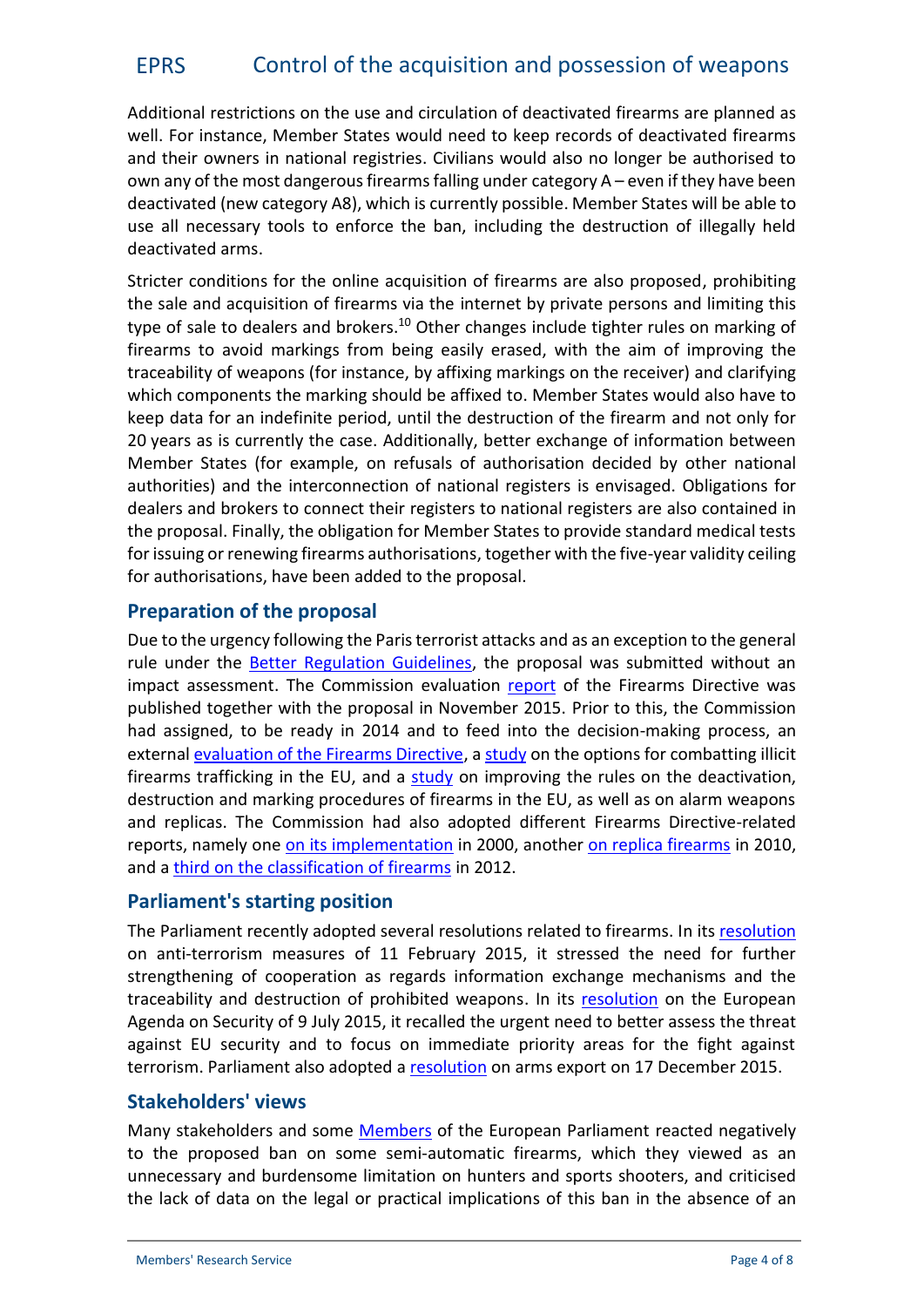Additional restrictions on the use and circulation of deactivated firearms are planned as well. For instance, Member States would need to keep records of deactivated firearms and their owners in national registries. Civilians would also no longer be authorised to own any of the most dangerous firearms falling under category  $A$  – even if they have been deactivated (new category A8), which is currently possible. Member States will be able to use all necessary tools to enforce the ban, including the destruction of illegally held deactivated arms.

Stricter conditions for the online acquisition of firearms are also proposed, prohibiting the sale and acquisition of firearms via the internet by private persons and limiting this type of sale to dealers and brokers.<sup>10</sup> Other changes include tighter rules on marking of firearms to avoid markings from being easily erased, with the aim of improving the traceability of weapons (for instance, by affixing markings on the receiver) and clarifying which components the marking should be affixed to. Member States would also have to keep data for an indefinite period, until the destruction of the firearm and not only for 20 years as is currently the case. Additionally, better exchange of information between Member States (for example, on refusals of authorisation decided by other national authorities) and the interconnection of national registers is envisaged. Obligations for dealers and brokers to connect their registers to national registers are also contained in the proposal. Finally, the obligation for Member States to provide standard medical tests for issuing or renewing firearms authorisations, together with the five-year validity ceiling for authorisations, have been added to the proposal.

## **Preparation of the proposal**

Due to the urgency following the Paris terrorist attacks and as an exception to the general rule under the [Better Regulation Guidelines](http://ec.europa.eu/smart-regulation/guidelines/docs/swd_br_guidelines_en.pdf), the proposal was submitted without an impact assessment. The Commission evaluation [report](http://eur-lex.europa.eu/legal-content/EN/TXT/?qid=1450199932638&uri=CELEX:52015DC0751) of the Firearms Directive was published together with the proposal in November 2015. Prior to this, the Commission had assigned, to be ready in 2014 and to feed into the decision-making process, an external [evaluation of the Firearms Directive](http://www.sipri.org/research/security/europe/publications/evaluation-of-the-firearms-directive), a [study](http://ec.europa.eu/dgs/home-affairs/e-library/documents/policies/organized-crime-and-human-trafficking/general/docs/dg_home_-_illicit_fireams_trafficking_final_en.pdf) on the options for combatting illicit firearms trafficking in the EU, and a [study](http://ec.europa.eu/dgs/home-affairs/e-library/documents/policies/organized-crime-and-human-trafficking/general/docs/dg_home_ia_firearms_deactivation_final_en.pdf) on improving the rules on the deactivation, destruction and marking procedures of firearms in the EU, as well as on alarm weapons and replicas. The Commission had also adopted different Firearms Directive-related reports, namely one on its [implementation](http://eur-lex.europa.eu/legal-content/EN/TXT/?uri=CELEX:52000DC0837&locale=en) in 2000, another [on replica firearms](http://eur-lex.europa.eu/legal-content/EN/TXT/?uri=CELEX:52010DC0404&locale=en) in 2010, and a third on the [classification of firearms](http://eur-lex.europa.eu/legal-content/EN/TXT/?uri=CELEX:52012DC0415&locale=en) in 2012.

## **Parliament's starting position**

The Parliament recently adopted several resolutions related to firearms. In its [resolution](http://www.europarl.europa.eu/sides/getDoc.do?type=TA&language=EN&reference=P8-TA-2015-0032) on anti-terrorism measures of 11 February 2015, it stressed the need for further strengthening of cooperation as regards information exchange mechanisms and the traceability and destruction of prohibited weapons. In its [resolution](http://www.europarl.europa.eu/sides/getDoc.do?type=TA&language=EN&reference=P8-TA-2015-0269) on the European Agenda on Security of 9 July 2015, it recalled the urgent need to better assess the threat against EU security and to focus on immediate priority areas for the fight against terrorism. Parliament also adopted a [resolution](http://www.europarl.europa.eu/sides/getDoc.do?type=TA&reference=P8-TA-2015-0472&language=EN&ring=A8-2015-0338) on arms export on 17 December 2015.

## **Stakeholders' views**

Many stakeholders and some [Members](http://www.face.eu/sites/default/files/documents/english/press_release_the_110_members_of_the_parliamentary_intergroup.pdf) of the European Parliament reacted negatively to the proposed ban on some semi-automatic firearms, which they viewed as an unnecessary and burdensome limitation on hunters and sports shooters, and criticised the lack of data on the legal or practical implications of this ban in the absence of an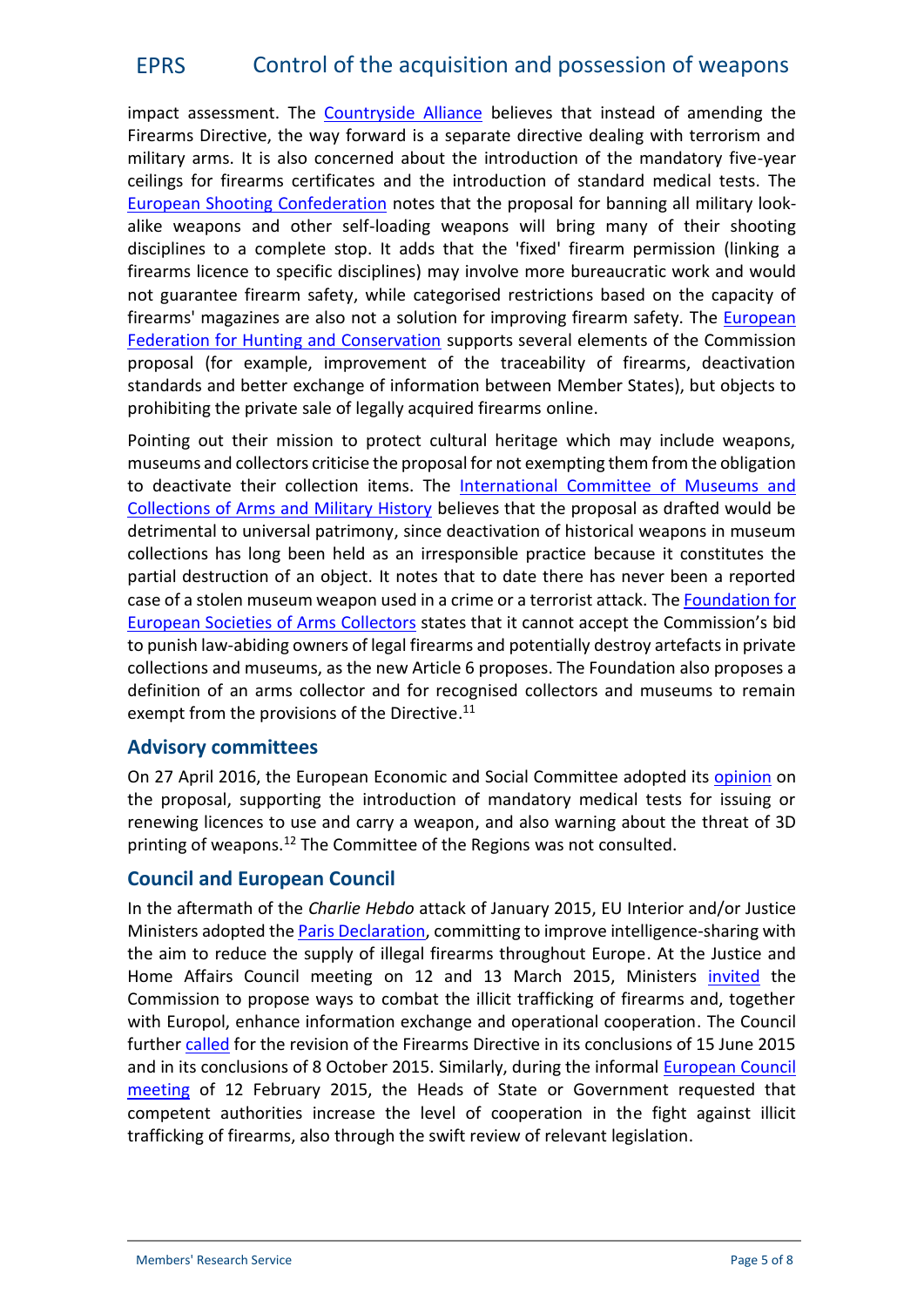impact assessment. The [Countryside Alliance](http://www.countryside-alliance.org/countryside-alliance-statement-on-proposed-changes-to-firearms-regulation/) believes that instead of amending the Firearms Directive, the way forward is a separate directive dealing with terrorism and military arms. It is also concerned about the introduction of the mandatory five-year ceilings for firearms certificates and the introduction of standard medical tests. Th[e](http://www.esc-shooting.org/news/read/the_sport_shooting_community_is_protesting_against_several_proposed_amendments_to_the_eu_directive_on_firearms-215/) [European Shooting Confederation](http://www.esc-shooting.org/news/read/the_sport_shooting_community_is_protesting_against_several_proposed_amendments_to_the_eu_directive_on_firearms-215/) notes that the proposal for banning all military look alike weapons and other self-loading weapons will bring many of their shooting disciplines to a complete stop. It adds that the 'fixed' firearm permission (linking a firearms licence to specific disciplines) may involve more bureaucratic work and would not guarantee firearm safety, while categorised restrictions based on the capacity of firearms' magazines are also not a solution for improving firearm safety. The [European](http://www.face.eu/about-us/resources/news/will-terrorists-comply-with-the-revision-of-the-firearms-directive) [Federation for Hunting and Conservation](http://www.face.eu/about-us/resources/news/will-terrorists-comply-with-the-revision-of-the-firearms-directive) supports several elements of the Commission proposal (for example, improvement of the traceability of firearms, deactivation standards and better exchange of information between Member States), but objects to prohibiting the private sale of legally acquired firearms online.

Pointing out their mission to protect cultural heritage which may include weapons, museums and collectors criticise the proposal for not exempting them from the obligation to deactivate their collection items. The [International Committee of](http://www.sverigesmuseer.se/wp/wp-content/uploads/2016/01/Comment-from-ICOMAM-Control-...of-weapons.pdf) Museums and [Collections of Arms and Military History](http://www.sverigesmuseer.se/wp/wp-content/uploads/2016/01/Comment-from-ICOMAM-Control-...of-weapons.pdf) believes that the proposal as drafted would be detrimental to universal patrimony, since deactivation of historical weapons in museum collections has long been held as an irresponsible practice because it constitutes the partial destruction of an object. It notes that to date there has never been a reported case of a stolen museum weapon used in a crime or a terrorist attack. The **[Foundation](http://www.fesac.eu/download/234/) for** [European Societies](http://www.fesac.eu/download/234/) of Arms Collectors states that it cannot accept the Commission's bid to punish law-abiding owners of legal firearms and potentially destroy artefacts in private collections and museums, as the new Article 6 proposes. The Foundation also proposes a definition of an arms collector and for recognised collectors and museums to remain exempt from the provisions of the Directive.<sup>11</sup>

#### **Advisory committees**

On 27 April 2016, the European Economic and Social Committee adopted its [opinion](http://www.eesc.europa.eu/?i=portal.en.press-releases.39195) on the proposal, supporting the introduction of mandatory medical tests for issuing or renewing licences to use and carry a weapon, and also warning about the threat of 3D printing of weapons.<sup>12</sup> The Committee of the Regions was not consulted.

## **Council and European Council**

In the aftermath of the *Charlie Hebdo* attack of January 2015, EU Interior and/or Justice Ministers adopted the Paris [Declaration](http://data.consilium.europa.eu/doc/document/ST-5322-2015-INIT/en/pdf), committing to improve intelligence-sharing with the aim to reduce the supply of illegal firearms throughout Europe. At the Justice and Home Affairs Council meeting on 12 and 13 March 2015, Ministers [invited](http://www.google.be/url?sa=t&rct=j&q=&esrc=s&source=web&cd=1&cad=rja&uact=8&ved=0ahUKEwi-oYealKzMAhUD0xQKHSo-Bk0QFggbMAA&url=http%3A%2F%2Fwww.consilium.europa.eu%2Fen%2Fmeetings%2Fjha%2F2015%2F03%2Fst07178_en15_pdf%2F&usg=AFQjCNH5TyrbtO63tPwYGdSxVV-UJHrCKQ) the Commission to propose ways to combat the illicit trafficking of firearms and, together with Europol, enhance information exchange and operational cooperation. The Council further [called](http://data.consilium.europa.eu/doc/document/ST-6755-2016-INIT/en/pdf) for the revision of the Firearms Directive in its conclusions of 15 June 2015 and in its conclusions of 8 October 2015. Similarly, during the informal [European Council](http://www.consilium.europa.eu/en/press/press-releases/2015/02/150212-european-council-statement-fight-against-terrorism/) [meeting](http://www.consilium.europa.eu/en/press/press-releases/2015/02/150212-european-council-statement-fight-against-terrorism/) of 12 February 2015, the Heads of State or Government requested that competent authorities increase the level of cooperation in the fight against illicit trafficking of firearms, also through the swift review of relevant legislation.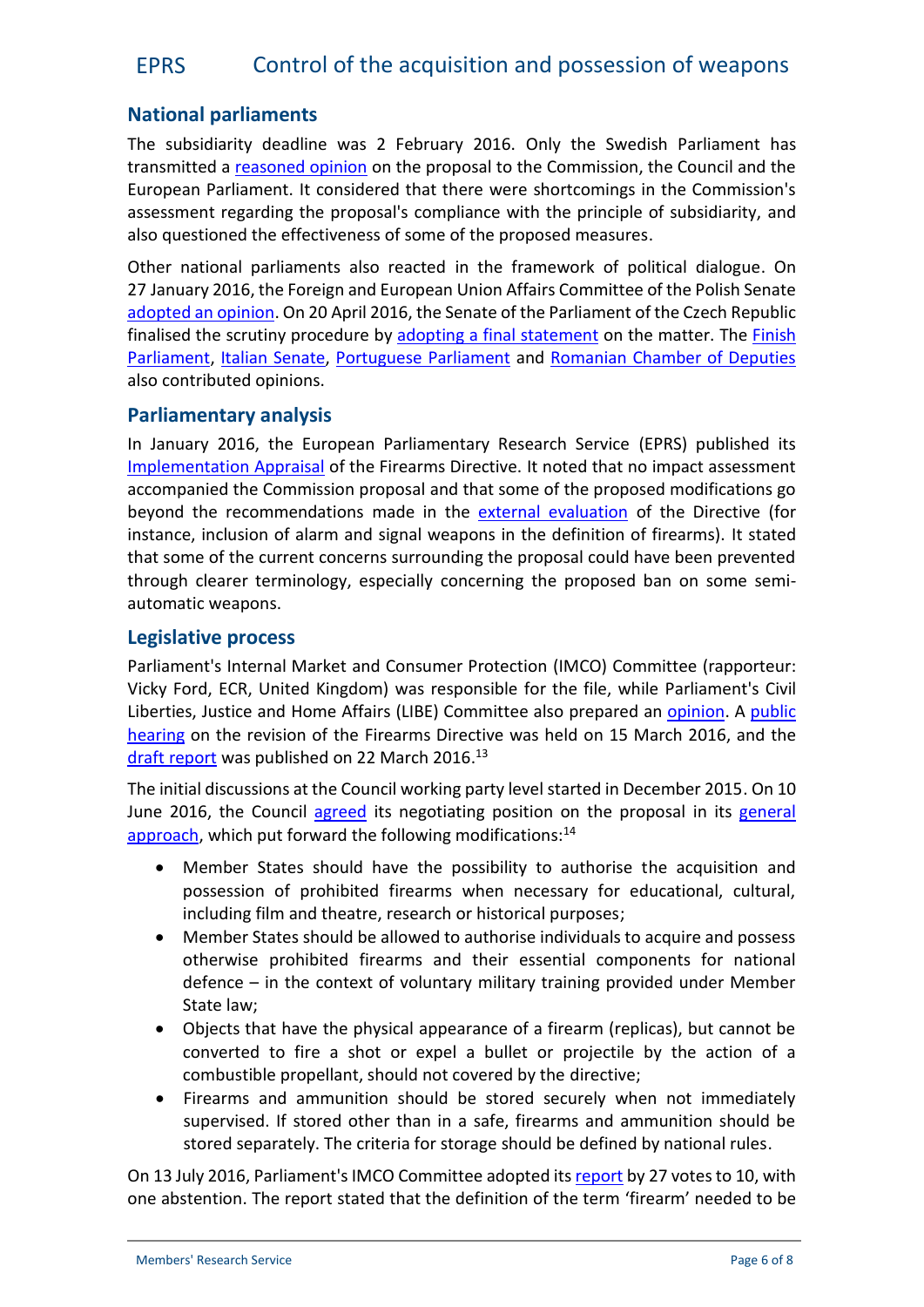# **National parliaments**

The subsidiarity deadline was 2 February 2016. Only the Swedish Parliament has transmitted a [reasoned opinion](http://www.ipex.eu/IPEXL-WEB/scrutiny/COD20150269/serik.do) on the proposal to the Commission, the Council and the European Parliament. It considered that there were shortcomings in the Commission's assessment regarding the proposal's compliance with the principle of subsidiarity, and also questioned the effectiveness of some of the proposed measures.

Other national parliaments also reacted in the framework of political dialogue. On 27 January 2016, the Foreign and European Union Affairs Committee of the Polish Senate [adopted an opinion](http://www.ipex.eu/IPEXL-WEB/scrutiny/COD20150269/plsen.do). On 20 April 2016, the Senate of the Parliament of the Czech Republic finalised the scrutiny procedure by adopting [a final statement](http://www.ipex.eu/IPEXL-WEB/scrutiny/COD20150269/czsen.do) on the matter. The [Finish](http://www.ipex.eu/IPEXL-WEB/scrutiny/COD20150269/fiedu.do) [Parliament](http://www.ipex.eu/IPEXL-WEB/scrutiny/COD20150269/fiedu.do), [Italian Senate,](http://www.ipex.eu/IPEXL-WEB/scrutiny/COD20150269/itsen.do) [Portuguese](http://www.ipex.eu/IPEXL-WEB/scrutiny/COD20150269/ptass.do) Parliament and [Romanian Chamber of Deputies](http://www.ipex.eu/IPEXL-WEB/scrutiny/COD20150269/rocam.do) also contributed opinions.

#### **Parliamentary analysis**

In January 2016, the European Parliamentary Research Service (EPRS) published its [Implementation](http://www.europarl.europa.eu/thinktank/en/document.html?reference=EPRS_IDA(2016)573289) Appraisal of the Firearms Directive. It noted that no impact assessment accompanied the Commission proposal and that some of the proposed modifications go beyond the recommendations made in the [external evaluation](http://www.sipri.org/research/security/europe/publications/evaluation-of-the-firearms-directive) of the Directive (for instance, inclusion of alarm and signal weapons in the definition of firearms). It stated that some of the current concerns surrounding the proposal could have been prevented through clearer terminology, especially concerning the proposed ban on some semi automatic weapons.

#### **Legislative process**

Parliament's Internal Market and Consumer Protection (IMCO) Committee (rapporteur: Vicky Ford, ECR, United Kingdom) was responsible for the file, while Parliament's Civil Liberties, Justice and Home Affairs (LIBE) Committee also prepared an [opinion](http://www.europarl.europa.eu/sides/getDoc.do?type=COMPARL&mode=XML&language=EN&reference=PE576.870&secondRef=02). A [public](http://www.europarl.europa.eu/committees/en/imco/events.html?id=20160315CHE00121) [hearing](http://www.europarl.europa.eu/committees/en/imco/events.html?id=20160315CHE00121) on the revision of the Firearms Directive was held on 15 March 2016, and the [draft report](http://www.europarl.europa.eu/sides/getDoc.do?type=COMPARL&mode=XML&language=EN&reference=PE578.822) was published on 22 March 2016.<sup>13</sup>

The initial discussions at the Council working party level started in December 2015. On 10 June 2016, the Council [agreed](http://www.consilium.europa.eu/en/press/press-releases/2016/06/10-weapons-strengthen-control/?utm_source=dsms-auto&utm_medium=email&utm_campaign=Council+agrees+negotiating+position+to+strengthen+control+of+firearms) its negotiating position on the proposal in its [general](http://data.consilium.europa.eu/doc/document/ST-9841-2016-INIT/en/pdf) [approach](http://data.consilium.europa.eu/doc/document/ST-9841-2016-INIT/en/pdf), which put forward the following modifications:<sup>14</sup>

- Member States should have the possibility to authorise the acquisition and possession of prohibited firearms when necessary for educational, cultural, including film and theatre, research or historical purposes;
- Member States should be allowed to authorise individuals to acquire and possess otherwise prohibited firearms and their essential components for national defence – in the context of voluntary military training provided under Member State law;
- Objects that have the physical appearance of a firearm (replicas), but cannot be converted to fire a shot or expel a bullet or projectile by the action of a combustible propellant, should not covered by the directive;
- Firearms and ammunition should be stored securely when not immediately supervised. If stored other than in a safe, firearms and ammunition should be stored separately. The criteria for storage should be defined by national rules.

On 13 July 2016, Parliament's IMCO Committee adopted its[report](http://www.europarl.europa.eu/sides/getDoc.do?type=REPORT&mode=XML&reference=A8-2016-0251&language=EN) by 27 votes to 10, with one abstention. The report stated that the definition of the term 'firearm' needed to be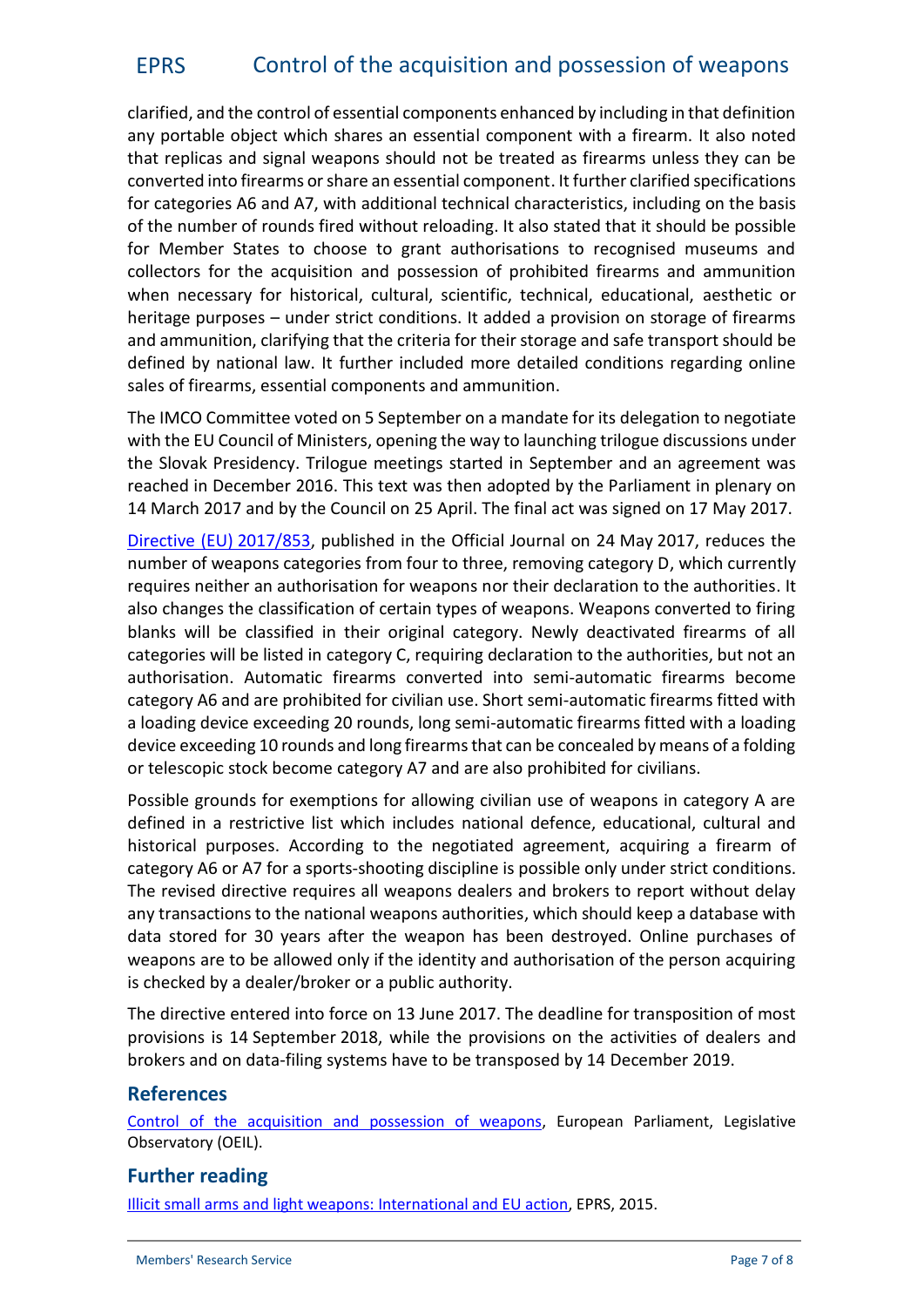clarified, and the control of essential components enhanced by including in that definition any portable object which shares an essential component with a firearm. It also noted that replicas and signal weapons should not be treated as firearms unless they can be converted into firearms or share an essential component. It further clarified specifications for categories A6 and A7, with additional technical characteristics, including on the basis of the number of rounds fired without reloading. It also stated that it should be possible for Member States to choose to grant authorisations to recognised museums and collectors for the acquisition and possession of prohibited firearms and ammunition when necessary for historical, cultural, scientific, technical, educational, aesthetic or heritage purposes – under strict conditions. It added a provision on storage of firearms and ammunition, clarifying that the criteria for their storage and safe transport should be defined by national law. It further included more detailed conditions regarding online sales of firearms, essential components and ammunition.

The IMCO Committee voted on 5 September on a mandate for its delegation to negotiate with the EU Council of Ministers, opening the way to launching trilogue discussions under the Slovak Presidency. Trilogue meetings started in September and an agreement was reached in December 2016. This text was then adopted by the Parliament in plenary on 14 March 2017 and by the Council on 25 April. The final act was signed on 17 May 2017.

[Directive \(EU\)](http://eur-lex.europa.eu/legal-content/EN/TXT/?qid=1496043573778&uri=CELEX:32017L0853) 2017/853, published in the Official Journal on 24 May 2017, reduces the number of weapons categories from four to three, removing category D, which currently requires neither an authorisation for weapons nor their declaration to the authorities. It also changes the classification of certain types of weapons. Weapons converted to firing blanks will be classified in their original category. Newly deactivated firearms of all categories will be listed in category C, requiring declaration to the authorities, but not an authorisation. Automatic firearms converted into semi-automatic firearms become category A6 and are prohibited for civilian use. Short semi-automatic firearms fitted with a loading device exceeding 20 rounds, long semi-automatic firearms fitted with a loading device exceeding 10 rounds and long firearms that can be concealed by means of a folding or telescopic stock become category A7 and are also prohibited for civilians.

Possible grounds for exemptions for allowing civilian use of weapons in category A are defined in a restrictive list which includes national defence, educational, cultural and historical purposes. According to the negotiated agreement, acquiring a firearm of category A6 or A7 for a sports-shooting discipline is possible only under strict conditions. The revised directive requires all weapons dealers and brokers to report without delay any transactions to the national weapons authorities, which should keep a database with data stored for 30 years after the weapon has been destroyed. Online purchases of weapons are to be allowed only if the identity and authorisation of the person acquiring is checked by a dealer/broker or a public authority.

The directive entered into force on 13 June 2017. The deadline for transposition of most provisions is 14 September 2018, while the provisions on the activities of dealers and brokers and on data-filing systems have to be transposed by 14 December 2019.

#### **References**

[Control of the acquisition and possession of weapons](http://www.oeil.ep.parl.union.eu/oeil/popups/ficheprocedure.do?reference=2015/0269(COD)&l=en), European Parliament, Legislative Observatory (OEIL).

## **Further reading**

[Illicit small arms and light weapons: International and EU action](http://www.eprs.sso.ep.parl.union.eu/lis/site/policyAreaPostDetail.form?postId=68098&policyAreaId=), EPRS, 2015.